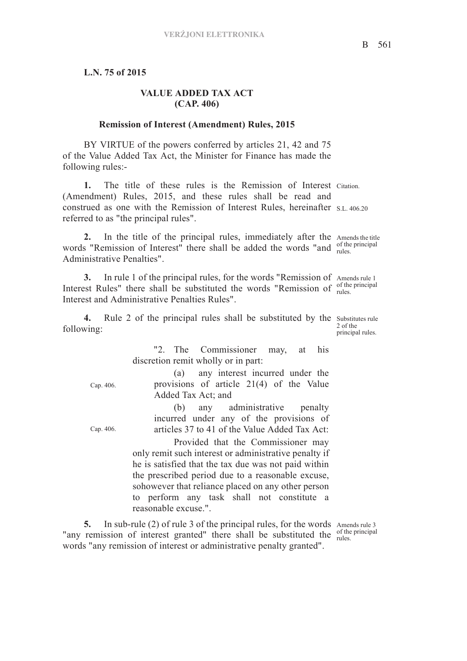## **L.N. 75 of 2015**

## **VALUE ADDED TAX ACT (CAP. 406)**

## **Remission of Interest (Amendment) Rules, 2015**

BY VIRTUE of the powers conferred by articles 21, 42 and 75 of the Value Added Tax Act, the Minister for Finance has made the following rules:-

1. The title of these rules is the Remission of Interest Citation. construed as one with the Remission of Interest Rules, hereinafter s.L. 406.20 (Amendment) Rules, 2015, and these rules shall be read and referred to as "the principal rules".

2. In the title of the principal rules, immediately after the Amends the title words "Remission of Interest" there shall be added the words "and  $_{\text{rules}}^{\text{or the}}$ Administrative Penalties".

**3.** In rule 1 of the principal rules, for the words "Remission of Amends rule 1 of the principal Interest Rules" there shall be substituted the words "Remission of  $_{\text{rules}}^{\text{or the}}$ Interest and Administrative Penalties Rules".

4. Rule 2 of the principal rules shall be substituted by the substitutes rule following:

"2. The Commissioner may, at his discretion remit wholly or in part: Cap. 406. (a) any interest incurred under the provisions of article 21(4) of the Value Added Tax Act; and Cap. 406. (b) any administrative penalty incurred under any of the provisions of articles 37 to 41 of the Value Added Tax Act: Provided that the Commissioner may only remit such interest or administrative penalty if he is satisfied that the tax due was not paid within the prescribed period due to a reasonable excuse, sohowever that reliance placed on any other person to perform any task shall not constitute a reasonable excuse.".

**5.** In sub-rule (2) of rule 3 of the principal rules, for the words Amends rule 3 "any remission of interest granted" there shall be substituted the  $_{\text{rules}}^{\text{or the}}$ words "any remission of interest or administrative penalty granted".

of the principal

2 of the principal rules.

of the principal